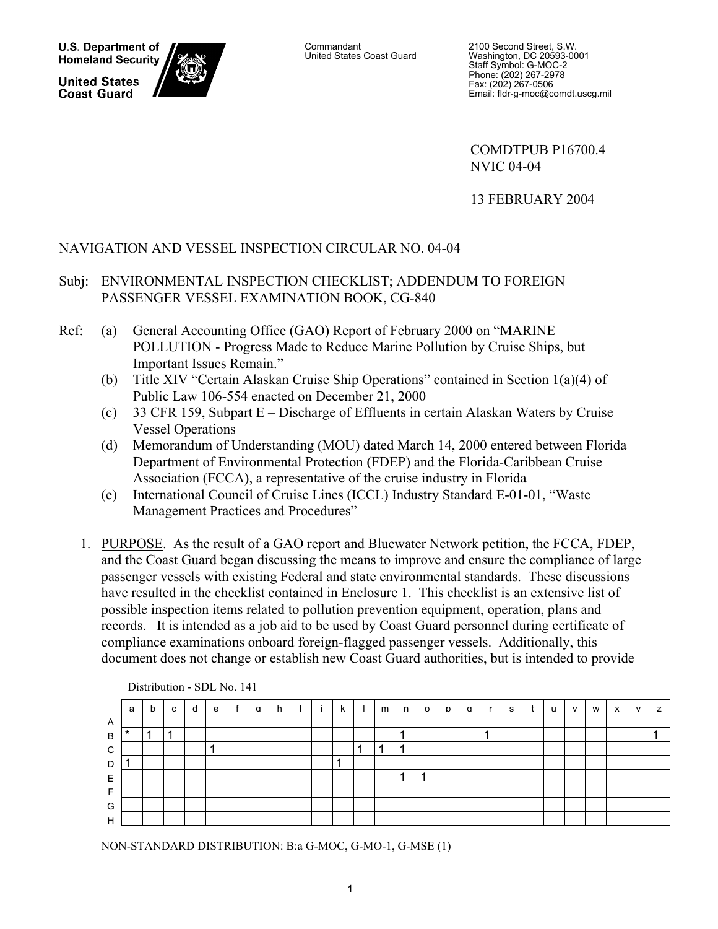**U.S. Department of Homeland Security** 

**United States Coast Guard** 



Commandant United States Coast Guard 2100 Second Street, S.W. Washington, DC 20593-0001 Staff Symbol: G-MOC-2 Phone: (202) 267-2978 Fax: (202) 267-0506 Email: fldr-g-moc@comdt.uscg.mil

 COMDTPUB P16700.4 NVIC 04-04

13 FEBRUARY 2004

# NAVIGATION AND VESSEL INSPECTION CIRCULAR NO. 04-04

# Subj: ENVIRONMENTAL INSPECTION CHECKLIST; ADDENDUM TO FOREIGN PASSENGER VESSEL EXAMINATION BOOK, CG-840

- Ref: (a) General Accounting Office (GAO) Report of February 2000 on "MARINE POLLUTION - Progress Made to Reduce Marine Pollution by Cruise Ships, but Important Issues Remain."
	- (b) Title XIV "Certain Alaskan Cruise Ship Operations" contained in Section 1(a)(4) of Public Law 106-554 enacted on December 21, 2000
	- (c) 33 CFR 159, Subpart E Discharge of Effluents in certain Alaskan Waters by Cruise Vessel Operations
	- (d) Memorandum of Understanding (MOU) dated March 14, 2000 entered between Florida Department of Environmental Protection (FDEP) and the Florida-Caribbean Cruise Association (FCCA), a representative of the cruise industry in Florida
	- (e) International Council of Cruise Lines (ICCL) Industry Standard E-01-01, "Waste Management Practices and Procedures"
	- 1. PURPOSE. As the result of a GAO report and Bluewater Network petition, the FCCA, FDEP, and the Coast Guard began discussing the means to improve and ensure the compliance of large passenger vessels with existing Federal and state environmental standards. These discussions have resulted in the checklist contained in Enclosure 1. This checklist is an extensive list of possible inspection items related to pollution prevention equipment, operation, plans and records. It is intended as a job aid to be used by Coast Guard personnel during certificate of compliance examinations onboard foreign-flagged passenger vessels. Additionally, this document does not change or establish new Coast Guard authorities, but is intended to provide

|              | $L$ Butoution - ODL TW. 141 |   |   |   |   |  |   |   |  |  |   |   |   |         |   |   |   |   |              |   |   |  |   |
|--------------|-----------------------------|---|---|---|---|--|---|---|--|--|---|---|---|---------|---|---|---|---|--------------|---|---|--|---|
|              | a                           | b | c | a | e |  | a | h |  |  | k | m | n | $\circ$ | D | q | s | u | $\mathsf{v}$ | w | х |  | z |
| $\mathsf{A}$ |                             |   |   |   |   |  |   |   |  |  |   |   |   |         |   |   |   |   |              |   |   |  |   |
| B            | $\star$                     |   |   |   |   |  |   |   |  |  |   |   |   |         |   |   |   |   |              |   |   |  |   |
| C            |                             |   |   |   | × |  |   |   |  |  |   |   | л |         |   |   |   |   |              |   |   |  |   |
| D            |                             |   |   |   |   |  |   |   |  |  |   |   |   |         |   |   |   |   |              |   |   |  |   |
| E            |                             |   |   |   |   |  |   |   |  |  |   |   |   |         |   |   |   |   |              |   |   |  |   |
|              |                             |   |   |   |   |  |   |   |  |  |   |   |   |         |   |   |   |   |              |   |   |  |   |
| G            |                             |   |   |   |   |  |   |   |  |  |   |   |   |         |   |   |   |   |              |   |   |  |   |
| H            |                             |   |   |   |   |  |   |   |  |  |   |   |   |         |   |   |   |   |              |   |   |  |   |

Distribution - SDL No. 141

NON-STANDARD DISTRIBUTION: B:a G-MOC, G-MO-1, G-MSE (1)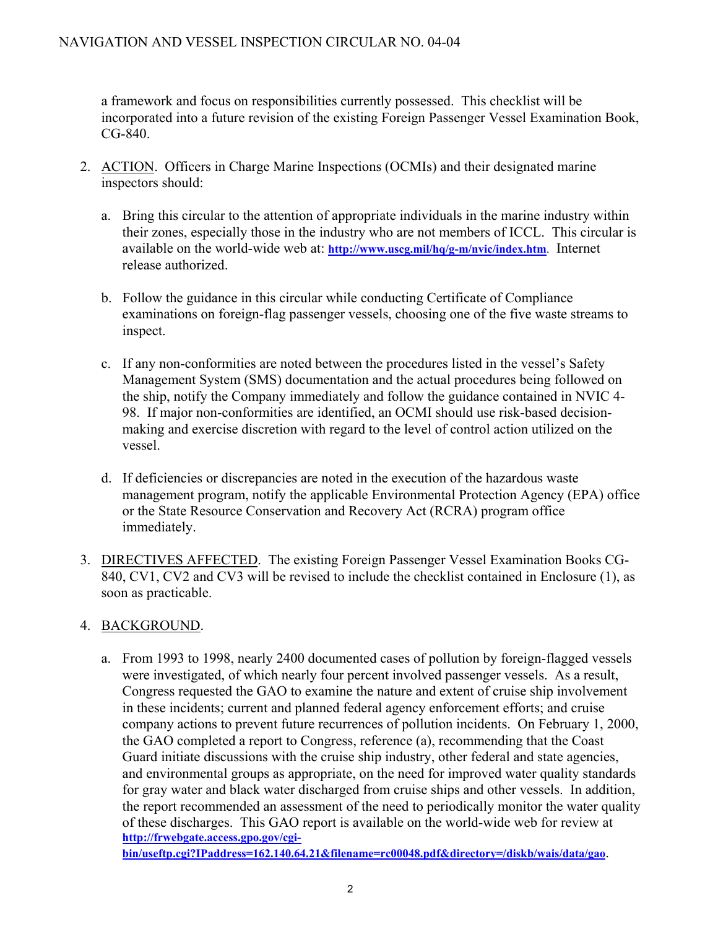a framework and focus on responsibilities currently possessed. This checklist will be incorporated into a future revision of the existing Foreign Passenger Vessel Examination Book, CG-840.

- 2. ACTION. Officers in Charge Marine Inspections (OCMIs) and their designated marine inspectors should:
	- a. Bring this circular to the attention of appropriate individuals in the marine industry within their zones, especially those in the industry who are not members of ICCL. This circular is available on the world-wide web at: **<http://www.uscg.mil/hq/g-m/nvic/index.htm>**. Internet release authorized.
	- b. Follow the guidance in this circular while conducting Certificate of Compliance examinations on foreign-flag passenger vessels, choosing one of the five waste streams to inspect.
	- c. If any non-conformities are noted between the procedures listed in the vessel's Safety Management System (SMS) documentation and the actual procedures being followed on the ship, notify the Company immediately and follow the guidance contained in NVIC 4- 98. If major non-conformities are identified, an OCMI should use risk-based decisionmaking and exercise discretion with regard to the level of control action utilized on the vessel.
	- d. If deficiencies or discrepancies are noted in the execution of the hazardous waste management program, notify the applicable Environmental Protection Agency (EPA) office or the State Resource Conservation and Recovery Act (RCRA) program office immediately.
- 3. DIRECTIVES AFFECTED. The existing Foreign Passenger Vessel Examination Books CG-840, CV1, CV2 and CV3 will be revised to include the checklist contained in Enclosure (1), as soon as practicable.

# 4. BACKGROUND.

a. From 1993 to 1998, nearly 2400 documented cases of pollution by foreign-flagged vessels were investigated, of which nearly four percent involved passenger vessels. As a result, Congress requested the GAO to examine the nature and extent of cruise ship involvement in these incidents; current and planned federal agency enforcement efforts; and cruise company actions to prevent future recurrences of pollution incidents. On February 1, 2000, the GAO completed a report to Congress, reference (a), recommending that the Coast Guard initiate discussions with the cruise ship industry, other federal and state agencies, and environmental groups as appropriate, on the need for improved water quality standards for gray water and black water discharged from cruise ships and other vessels. In addition, the report recommended an assessment of the need to periodically monitor the water quality of these discharges. This GAO report is available on the world-wide web for review at **[http://frwebgate.access.gpo.gov/cgi-](http://frwebgate.access.gpo.gov/cgi-bin/useftp.cgi?IPaddress=162.140.64.21&filename=rc00048.pdf&directory=/diskb/wais/data/gao)**

**[bin/useftp.cgi?IPaddress=162.140.64.21&filename=rc00048.pdf&directory=/diskb/wais/data/gao](http://frwebgate.access.gpo.gov/cgi-bin/useftp.cgi?IPaddress=162.140.64.21&filename=rc00048.pdf&directory=/diskb/wais/data/gao)**.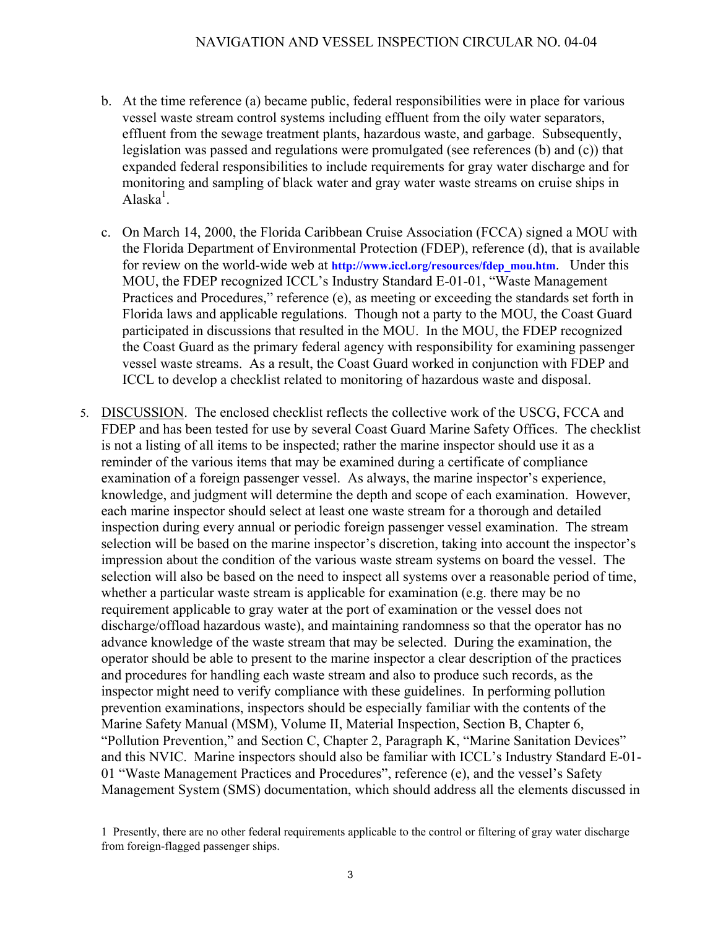- b. At the time reference (a) became public, federal responsibilities were in place for various vessel waste stream control systems including effluent from the oily water separators, effluent from the sewage treatment plants, hazardous waste, and garbage. Subsequently, legislation was passed and regulations were promulgated (see references (b) and (c)) that expanded federal responsibilities to include requirements for gray water discharge and for monitoring and sampling of black water and gray water waste streams on cruise ships in Alaska $^1$ .
- c. On March 14, 2000, the Florida Caribbean Cruise Association (FCCA) signed a MOU with the Florida Department of Environmental Protection (FDEP), reference (d), that is available for review on the world-wide web at **http://www.iccl.org/resources/fdep\_mou.htm**. Under this MOU, the FDEP recognized ICCL's Industry Standard E-01-01, "Waste Management Practices and Procedures," reference (e), as meeting or exceeding the standards set forth in Florida laws and applicable regulations. Though not a party to the MOU, the Coast Guard participated in discussions that resulted in the MOU. In the MOU, the FDEP recognized the Coast Guard as the primary federal agency with responsibility for examining passenger vessel waste streams. As a result, the Coast Guard worked in conjunction with FDEP and ICCL to develop a checklist related to monitoring of hazardous waste and disposal.
- 5. DISCUSSION. The enclosed checklist reflects the collective work of the USCG, FCCA and FDEP and has been tested for use by several Coast Guard Marine Safety Offices. The checklist is not a listing of all items to be inspected; rather the marine inspector should use it as a reminder of the various items that may be examined during a certificate of compliance examination of a foreign passenger vessel. As always, the marine inspector's experience, knowledge, and judgment will determine the depth and scope of each examination. However, each marine inspector should select at least one waste stream for a thorough and detailed inspection during every annual or periodic foreign passenger vessel examination. The stream selection will be based on the marine inspector's discretion, taking into account the inspector's impression about the condition of the various waste stream systems on board the vessel. The selection will also be based on the need to inspect all systems over a reasonable period of time, whether a particular waste stream is applicable for examination (e.g. there may be no requirement applicable to gray water at the port of examination or the vessel does not discharge/offload hazardous waste), and maintaining randomness so that the operator has no advance knowledge of the waste stream that may be selected. During the examination, the operator should be able to present to the marine inspector a clear description of the practices and procedures for handling each waste stream and also to produce such records, as the inspector might need to verify compliance with these guidelines. In performing pollution prevention examinations, inspectors should be especially familiar with the contents of the Marine Safety Manual (MSM), Volume II, Material Inspection, Section B, Chapter 6, "Pollution Prevention," and Section C, Chapter 2, Paragraph K, "Marine Sanitation Devices" and this NVIC. Marine inspectors should also be familiar with ICCL's Industry Standard E-01- 01 "Waste Management Practices and Procedures", reference (e), and the vessel's Safety Management System (SMS) documentation, which should address all the elements discussed in

<sup>1</sup> Presently, there are no other federal requirements applicable to the control or filtering of gray water discharge from foreign-flagged passenger ships.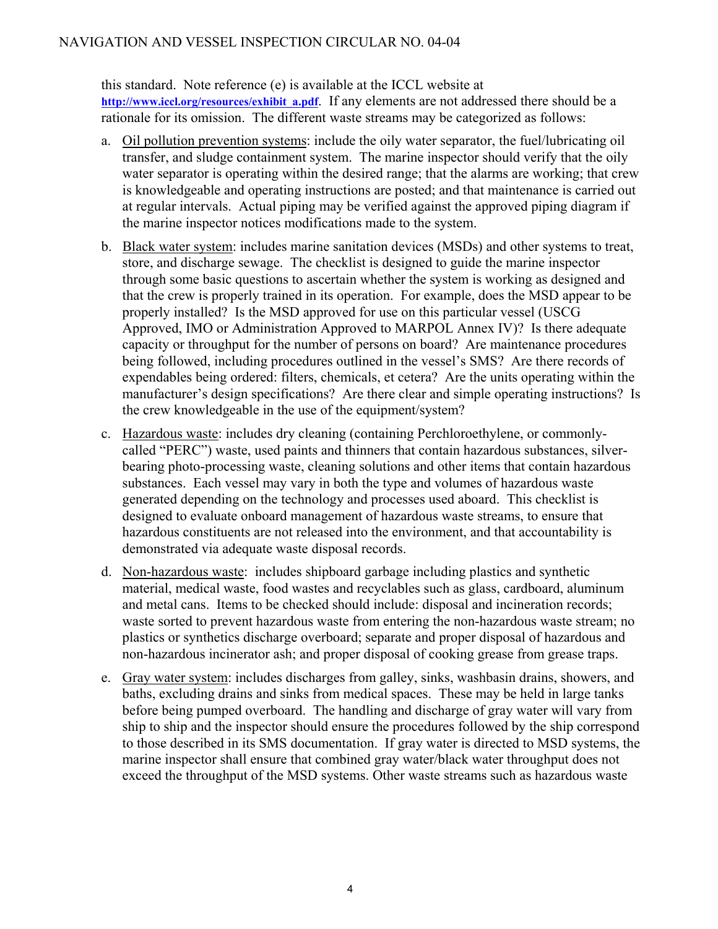# NAVIGATION AND VESSEL INSPECTION CIRCULAR NO. 04-04

this standard. Note reference (e) is available at the ICCL website at [http://www.iccl.org/resources/exhibit\\_a.pdf](http://www.iccl.org/resources/exhibit_a.pdf). If any elements are not addressed there should be a rationale for its omission. The different waste streams may be categorized as follows:

- a. Oil pollution prevention systems: include the oily water separator, the fuel/lubricating oil transfer, and sludge containment system. The marine inspector should verify that the oily water separator is operating within the desired range; that the alarms are working; that crew is knowledgeable and operating instructions are posted; and that maintenance is carried out at regular intervals. Actual piping may be verified against the approved piping diagram if the marine inspector notices modifications made to the system.
- b. Black water system: includes marine sanitation devices (MSDs) and other systems to treat, store, and discharge sewage. The checklist is designed to guide the marine inspector through some basic questions to ascertain whether the system is working as designed and that the crew is properly trained in its operation. For example, does the MSD appear to be properly installed? Is the MSD approved for use on this particular vessel (USCG Approved, IMO or Administration Approved to MARPOL Annex IV)? Is there adequate capacity or throughput for the number of persons on board? Are maintenance procedures being followed, including procedures outlined in the vessel's SMS? Are there records of expendables being ordered: filters, chemicals, et cetera? Are the units operating within the manufacturer's design specifications? Are there clear and simple operating instructions? Is the crew knowledgeable in the use of the equipment/system?
- c. Hazardous waste: includes dry cleaning (containing Perchloroethylene, or commonlycalled "PERC") waste, used paints and thinners that contain hazardous substances, silverbearing photo-processing waste, cleaning solutions and other items that contain hazardous substances. Each vessel may vary in both the type and volumes of hazardous waste generated depending on the technology and processes used aboard. This checklist is designed to evaluate onboard management of hazardous waste streams, to ensure that hazardous constituents are not released into the environment, and that accountability is demonstrated via adequate waste disposal records.
- d. Non-hazardous waste: includes shipboard garbage including plastics and synthetic material, medical waste, food wastes and recyclables such as glass, cardboard, aluminum and metal cans. Items to be checked should include: disposal and incineration records; waste sorted to prevent hazardous waste from entering the non-hazardous waste stream; no plastics or synthetics discharge overboard; separate and proper disposal of hazardous and non-hazardous incinerator ash; and proper disposal of cooking grease from grease traps.
- e. Gray water system: includes discharges from galley, sinks, washbasin drains, showers, and baths, excluding drains and sinks from medical spaces. These may be held in large tanks before being pumped overboard. The handling and discharge of gray water will vary from ship to ship and the inspector should ensure the procedures followed by the ship correspond to those described in its SMS documentation. If gray water is directed to MSD systems, the marine inspector shall ensure that combined gray water/black water throughput does not exceed the throughput of the MSD systems. Other waste streams such as hazardous waste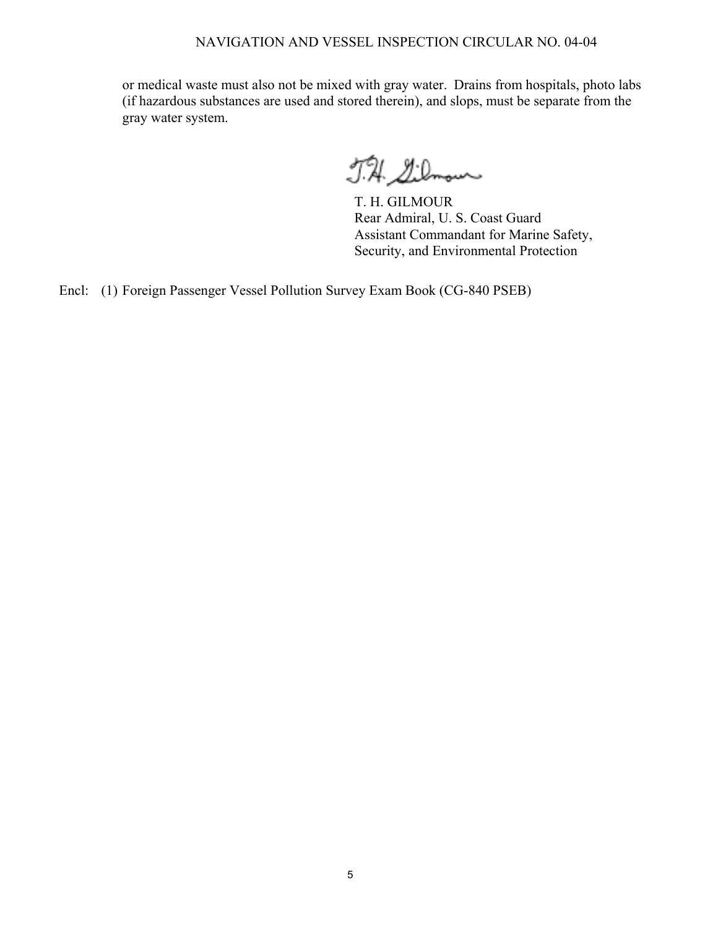# NAVIGATION AND VESSEL INSPECTION CIRCULAR NO. 04-04

or medical waste must also not be mixed with gray water. Drains from hospitals, photo labs (if hazardous substances are used and stored therein), and slops, must be separate from the gray water system.

J.H. Silmour

T. H. GILMOUR Rear Admiral, U. S. Coast Guard Assistant Commandant for Marine Safety, Security, and Environmental Protection

Encl: (1) Foreign Passenger Vessel Pollution Survey Exam Book (CG-840 PSEB)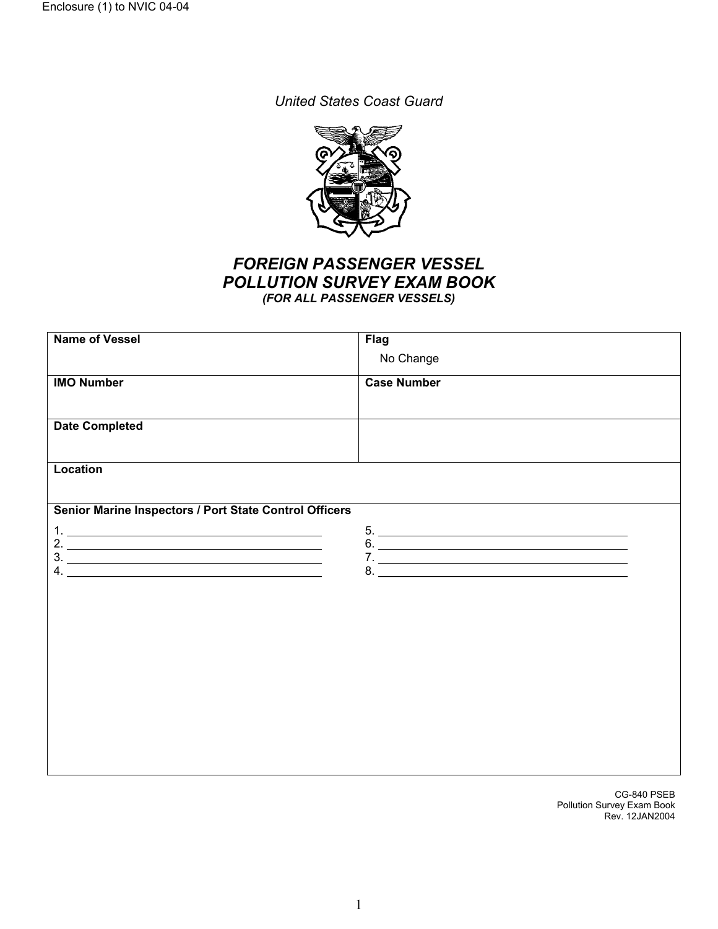*United States Coast Guard* 



# *FOREIGN PASSENGER VESSEL POLLUTION SURVEY EXAM BOOK (FOR ALL PASSENGER VESSELS)*

| <b>Name of Vessel</b>                                           | <b>Flag</b>        |
|-----------------------------------------------------------------|--------------------|
|                                                                 | No Change          |
|                                                                 |                    |
| <b>IMO Number</b>                                               | <b>Case Number</b> |
|                                                                 |                    |
| <b>Date Completed</b>                                           |                    |
|                                                                 |                    |
|                                                                 |                    |
| <b>Location</b>                                                 |                    |
|                                                                 |                    |
| Senior Marine Inspectors / Port State Control Officers          |                    |
|                                                                 |                    |
|                                                                 | 5.                 |
| 2. $\frac{1}{\sqrt{1-\frac{1}{2}}}\left\{1-\frac{1}{2}\right\}$ |                    |
| $3.$ $\overline{\phantom{a}}$                                   |                    |
|                                                                 |                    |
|                                                                 |                    |
|                                                                 |                    |
|                                                                 |                    |
|                                                                 |                    |
|                                                                 |                    |
|                                                                 |                    |
|                                                                 |                    |
|                                                                 |                    |
|                                                                 |                    |
|                                                                 |                    |
|                                                                 |                    |
|                                                                 |                    |

CG-840 PSEB Pollution Survey Exam Book Rev. 12JAN2004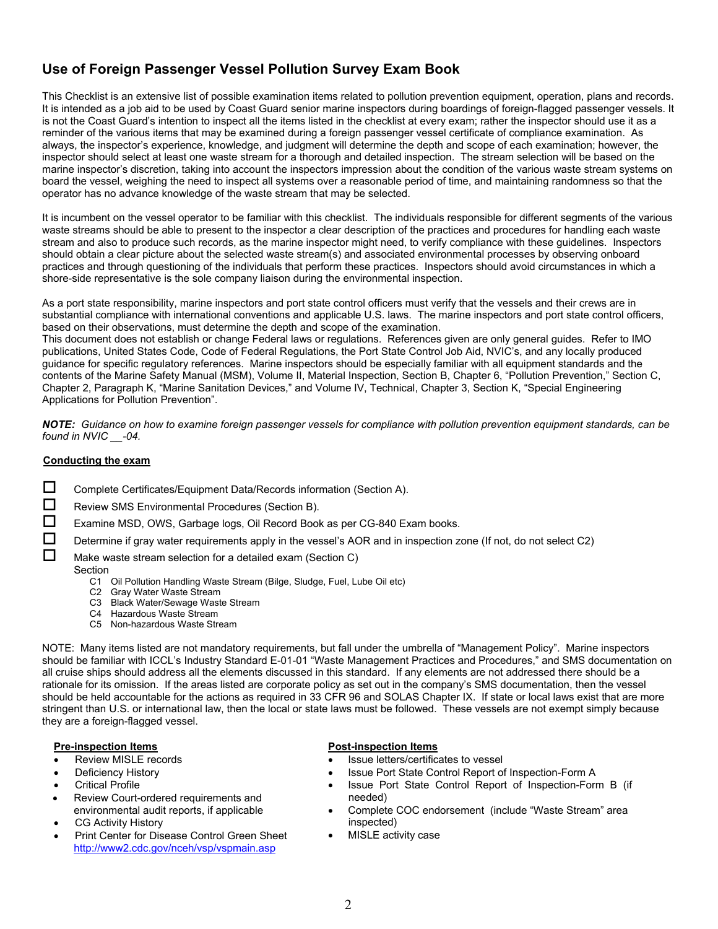# **Use of Foreign Passenger Vessel Pollution Survey Exam Book**

This Checklist is an extensive list of possible examination items related to pollution prevention equipment, operation, plans and records. It is intended as a job aid to be used by Coast Guard senior marine inspectors during boardings of foreign-flagged passenger vessels. It is not the Coast Guard's intention to inspect all the items listed in the checklist at every exam; rather the inspector should use it as a reminder of the various items that may be examined during a foreign passenger vessel certificate of compliance examination. As always, the inspector's experience, knowledge, and judgment will determine the depth and scope of each examination; however, the inspector should select at least one waste stream for a thorough and detailed inspection. The stream selection will be based on the marine inspector's discretion, taking into account the inspectors impression about the condition of the various waste stream systems on board the vessel, weighing the need to inspect all systems over a reasonable period of time, and maintaining randomness so that the operator has no advance knowledge of the waste stream that may be selected.

It is incumbent on the vessel operator to be familiar with this checklist. The individuals responsible for different segments of the various waste streams should be able to present to the inspector a clear description of the practices and procedures for handling each waste stream and also to produce such records, as the marine inspector might need, to verify compliance with these guidelines. Inspectors should obtain a clear picture about the selected waste stream(s) and associated environmental processes by observing onboard practices and through questioning of the individuals that perform these practices. Inspectors should avoid circumstances in which a shore-side representative is the sole company liaison during the environmental inspection.

As a port state responsibility, marine inspectors and port state control officers must verify that the vessels and their crews are in substantial compliance with international conventions and applicable U.S. laws. The marine inspectors and port state control officers, based on their observations, must determine the depth and scope of the examination.

This document does not establish or change Federal laws or regulations. References given are only general guides. Refer to IMO publications, United States Code, Code of Federal Regulations, the Port State Control Job Aid, NVIC's, and any locally produced guidance for specific regulatory references. Marine inspectors should be especially familiar with all equipment standards and the contents of the Marine Safety Manual (MSM), Volume II, Material Inspection, Section B, Chapter 6, "Pollution Prevention," Section C, Chapter 2, Paragraph K, "Marine Sanitation Devices," and Volume IV, Technical, Chapter 3, Section K, "Special Engineering Applications for Pollution Prevention".

*NOTE: Guidance on how to examine foreign passenger vessels for compliance with pollution prevention equipment standards, can be found in NVIC \_\_-04.* 

### **Conducting the exam**

- $\square$  Complete Certificates/Equipment Data/Records information (Section A).
- $\Box$  Review SMS Environmental Procedures (Section B).
- Examine MSD, OWS, Garbage logs, Oil Record Book as per CG-840 Exam books.
- Determine if gray water requirements apply in the vessel's AOR and in inspection zone (If not, do not select C2)

 $\Box$  Make waste stream selection for a detailed exam (Section C)

### Section

- C1 Oil Pollution Handling Waste Stream (Bilge, Sludge, Fuel, Lube Oil etc)
- C2 Gray Water Waste Stream
- C3 Black Water/Sewage Waste Stream
- C4 Hazardous Waste Stream
- C5 Non-hazardous Waste Stream

NOTE: Many items listed are not mandatory requirements, but fall under the umbrella of "Management Policy". Marine inspectors should be familiar with ICCL's Industry Standard E-01-01 "Waste Management Practices and Procedures," and SMS documentation on all cruise ships should address all the elements discussed in this standard. If any elements are not addressed there should be a rationale for its omission. If the areas listed are corporate policy as set out in the company's SMS documentation, then the vessel should be held accountable for the actions as required in 33 CFR 96 and SOLAS Chapter IX. If state or local laws exist that are more stringent than U.S. or international law, then the local or state laws must be followed. These vessels are not exempt simply because they are a foreign-flagged vessel.

- Review MISLE records
- Deficiency History
- **Critical Profile**
- Review Court-ordered requirements and environmental audit reports, if applicable
- CG Activity History
- Print Center for Disease Control Green Sheet <http://www2.cdc.gov/nceh/vsp/vspmain.asp>

### **Pre-inspection Items Post-inspection Items**

- Issue letters/certificates to vessel
- Issue Port State Control Report of Inspection-Form A
- Issue Port State Control Report of Inspection-Form B (if needed)
- Complete COC endorsement (include "Waste Stream" area inspected)
- MISLE activity case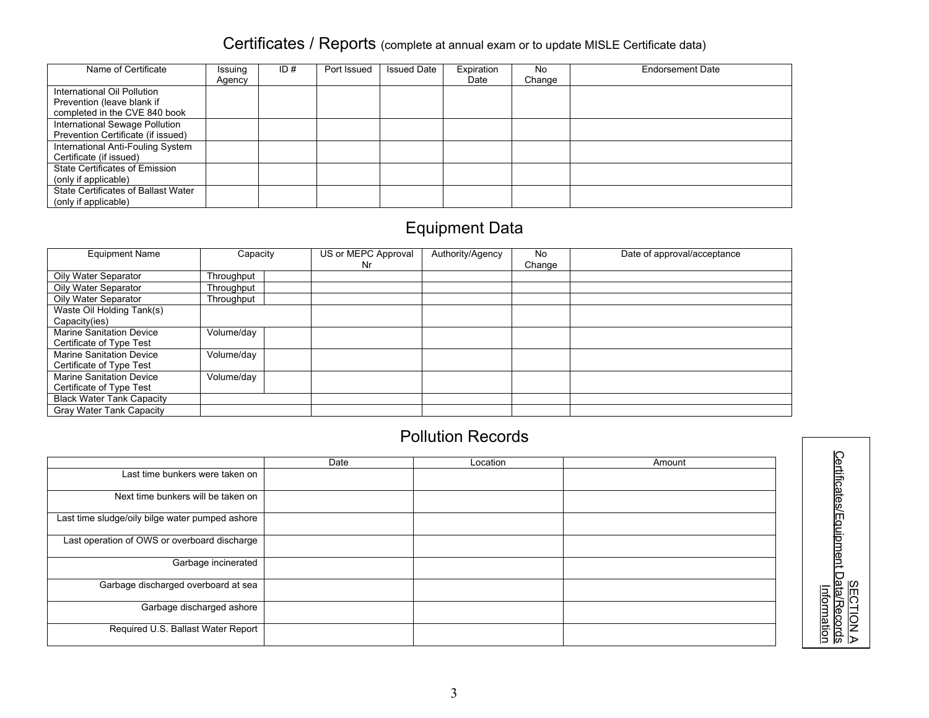# Certificates / Reports (complete at annual exam or to update MISLE Certificate data)

| Name of Certificate                                                                        | Issuing<br>Agency | ID $#$ | Port Issued | <b>Issued Date</b> | Expiration<br>Date | No<br>Change | <b>Endorsement Date</b> |
|--------------------------------------------------------------------------------------------|-------------------|--------|-------------|--------------------|--------------------|--------------|-------------------------|
| International Oil Pollution<br>Prevention (leave blank if<br>completed in the CVE 840 book |                   |        |             |                    |                    |              |                         |
| International Sewage Pollution<br>Prevention Certificate (if issued)                       |                   |        |             |                    |                    |              |                         |
| International Anti-Fouling System<br>Certificate (if issued)                               |                   |        |             |                    |                    |              |                         |
| State Certificates of Emission<br>(only if applicable)                                     |                   |        |             |                    |                    |              |                         |
| State Certificates of Ballast Water<br>(only if applicable)                                |                   |        |             |                    |                    |              |                         |

# Equipment Data

| <b>Equipment Name</b>            | Capacity          | US or MEPC Approval | Authority/Agency | No     | Date of approval/acceptance |
|----------------------------------|-------------------|---------------------|------------------|--------|-----------------------------|
|                                  |                   | Nr.                 |                  | Change |                             |
| Oily Water Separator             | <b>Fhroughput</b> |                     |                  |        |                             |
| Oily Water Separator             | Throughput        |                     |                  |        |                             |
| Oily Water Separator             | Throughput        |                     |                  |        |                             |
| Waste Oil Holding Tank(s)        |                   |                     |                  |        |                             |
| Capacity(ies)                    |                   |                     |                  |        |                             |
| <b>Marine Sanitation Device</b>  | Volume/day        |                     |                  |        |                             |
| Certificate of Type Test         |                   |                     |                  |        |                             |
| <b>Marine Sanitation Device</b>  | Volume/day        |                     |                  |        |                             |
| Certificate of Type Test         |                   |                     |                  |        |                             |
| <b>Marine Sanitation Device</b>  | Volume/day        |                     |                  |        |                             |
| Certificate of Type Test         |                   |                     |                  |        |                             |
| <b>Black Water Tank Capacity</b> |                   |                     |                  |        |                             |
| Gray Water Tank Capacity         |                   |                     |                  |        |                             |

# Pollution Records

|                                                 | Date | Location | Amount |
|-------------------------------------------------|------|----------|--------|
| Last time bunkers were taken on                 |      |          |        |
| Next time bunkers will be taken on              |      |          |        |
| Last time sludge/oily bilge water pumped ashore |      |          |        |
| Last operation of OWS or overboard discharge    |      |          |        |
| Garbage incinerated                             |      |          |        |
| Garbage discharged overboard at sea             |      |          |        |
| Garbage discharged ashore                       |      |          |        |
| Required U.S. Ballast Water Report              |      |          |        |

**SECTION** ⊳ Certificates/Equipme nt Data/Records Information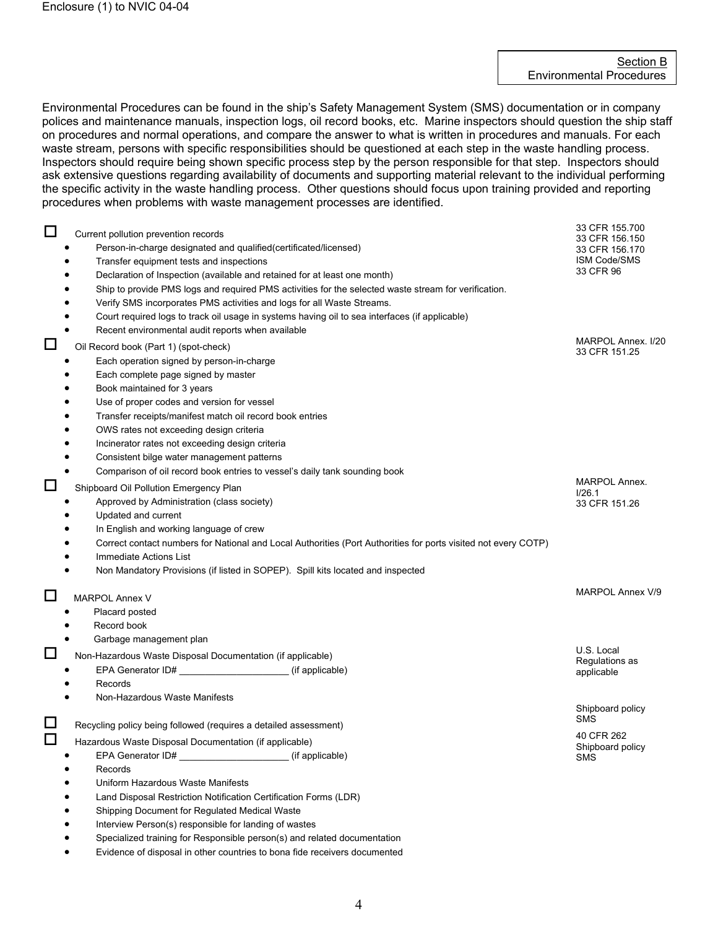Environmental Procedures can be found in the ship's Safety Management System (SMS) documentation or in company polices and maintenance manuals, inspection logs, oil record books, etc. Marine inspectors should question the ship staff on procedures and normal operations, and compare the answer to what is written in procedures and manuals. For each waste stream, persons with specific responsibilities should be questioned at each step in the waste handling process. Inspectors should require being shown specific process step by the person responsible for that step. Inspectors should ask extensive questions regarding availability of documents and supporting material relevant to the individual performing the specific activity in the waste handling process. Other questions should focus upon training provided and reporting procedures when problems with waste management processes are identified.

 $\Box$  Current pollution prevention records • Person-in-charge designated and qualified(certificated/licensed) • Transfer equipment tests and inspections • Declaration of Inspection (available and retained for at least one month) Ship to provide PMS logs and required PMS activities for the selected waste stream for verification. • Verify SMS incorporates PMS activities and logs for all Waste Streams. • Court required logs to track oil usage in systems having oil to sea interfaces (if applicable) Recent environmental audit reports when available 33 CFR 155.700 33 CFR 156.150 33 CFR 156.170 ISM Code/SMS 33 CFR 96  $\Box$  Oil Record book (Part 1) (spot-check) Each operation signed by person-in-charge Each complete page signed by master • Book maintained for 3 years Use of proper codes and version for vessel • Transfer receipts/manifest match oil record book entries • OWS rates not exceeding design criteria • Incinerator rates not exceeding design criteria • Consistent bilge water management patterns • Comparison of oil record book entries to vessel's daily tank sounding book MARPOL Annex. I/20 33 CFR 151.25 Shipboard Oil Pollution Emergency Plan • Approved by Administration (class society) • Updated and current In English and working language of crew • Correct contact numbers for National and Local Authorities (Port Authorities for ports visited not every COTP) Immediate Actions List • Non Mandatory Provisions (if listed in SOPEP). Spill kits located and inspected MARPOL Annex. I/26.1 33 CFR 151.26 MARPOL Annex V • • • Placard posted Record book Garbage management plan MARPOL Annex V/9 Non-Hazardous Waste Disposal Documentation (if applicable) • EPA Generator ID# \_\_\_\_\_\_\_\_\_\_\_\_\_\_\_\_\_\_\_\_\_ (if applicable) • Records • Non-Hazardous Waste Manifests U.S. Local Regulations as applicable Recycling policy being followed (requires a detailed assessment) Shipboard policy SMS Hazardous Waste Disposal Documentation (if applicable) • EPA Generator ID# \_\_\_\_\_\_\_\_\_\_\_\_\_\_\_\_\_\_\_\_\_ (if applicable) • Records • Uniform Hazardous Waste Manifests • Land Disposal Restriction Notification Certification Forms (LDR) • Shipping Document for Regulated Medical Waste Interview Person(s) responsible for landing of wastes • Specialized training for Responsible person(s) and related documentation • Evidence of disposal in other countries to bona fide receivers documented 40 CFR 262 Shipboard policy SMS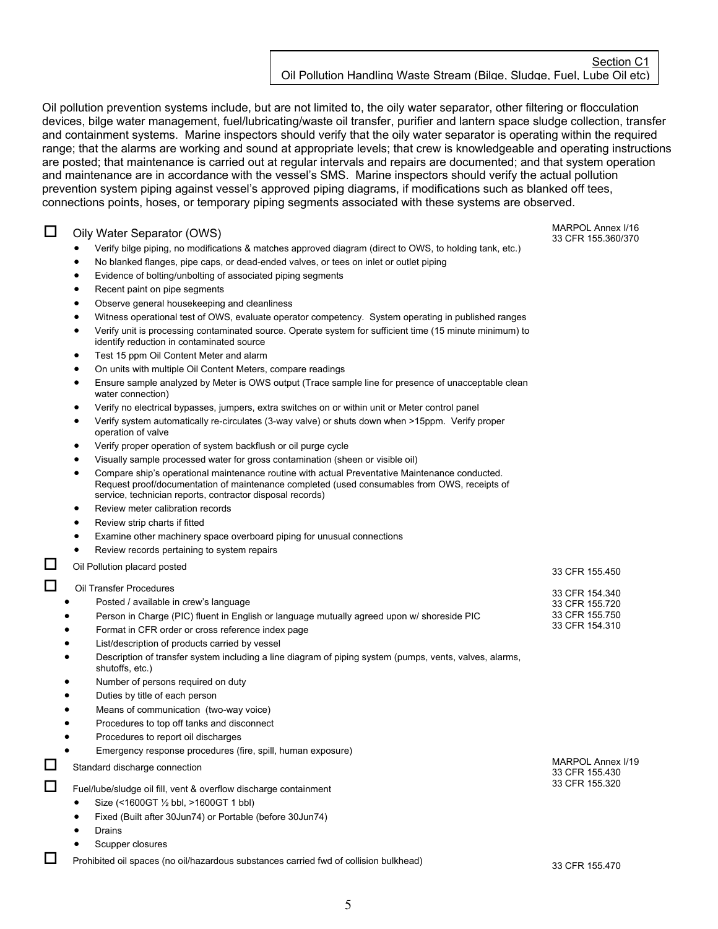Oil pollution prevention systems include, but are not limited to, the oily water separator, other filtering or flocculation devices, bilge water management, fuel/lubricating/waste oil transfer, purifier and lantern space sludge collection, transfer and containment systems. Marine inspectors should verify that the oily water separator is operating within the required range; that the alarms are working and sound at appropriate levels; that crew is knowledgeable and operating instructions are posted; that maintenance is carried out at regular intervals and repairs are documented; and that system operation and maintenance are in accordance with the vessel's SMS. Marine inspectors should verify the actual pollution prevention system piping against vessel's approved piping diagrams, if modifications such as blanked off tees, connections points, hoses, or temporary piping segments associated with these systems are observed.

 $\Box$  Oily Water Separator (OWS)

- Verify bilge piping, no modifications & matches approved diagram (direct to OWS, to holding tank, etc.)
- No blanked flanges, pipe caps, or dead-ended valves, or tees on inlet or outlet piping
- Evidence of bolting/unbolting of associated piping segments
- Recent paint on pipe segments
- Observe general housekeeping and cleanliness
- Witness operational test of OWS, evaluate operator competency. System operating in published ranges
- Verify unit is processing contaminated source. Operate system for sufficient time (15 minute minimum) to identify reduction in contaminated source
- Test 15 ppm Oil Content Meter and alarm
- On units with multiple Oil Content Meters, compare readings
- Ensure sample analyzed by Meter is OWS output (Trace sample line for presence of unacceptable clean water connection)
- Verify no electrical bypasses, jumpers, extra switches on or within unit or Meter control panel
- Verify system automatically re-circulates (3-way valve) or shuts down when >15ppm. Verify proper operation of valve
- Verify proper operation of system backflush or oil purge cycle
- Visually sample processed water for gross contamination (sheen or visible oil)
- Compare ship's operational maintenance routine with actual Preventative Maintenance conducted. Request proof/documentation of maintenance completed (used consumables from OWS, receipts of service, technician reports, contractor disposal records)
- Review meter calibration records
- Review strip charts if fitted
- Examine other machinery space overboard piping for unusual connections
- Review records pertaining to system repairs
- □ Oil Pollution placard posted 33 CFR 155.450

# **Q** Oil Transfer Procedures

- Posted / available in crew's language
- Person in Charge (PIC) fluent in English or language mutually agreed upon w/ shoreside PIC
- Format in CFR order or cross reference index page
- List/description of products carried by vessel
- Description of transfer system including a line diagram of piping system (pumps, vents, valves, alarms, shutoffs, etc.)
- Number of persons required on duty
- Duties by title of each person
- Means of communication (two-way voice)
- Procedures to top off tanks and disconnect
- Procedures to report oil discharges
- Emergency response procedures (fire, spill, human exposure)
- 

Fuel/lube/sludge oil fill, vent & overflow discharge containment

- Size (<1600GT ½ bbl, >1600GT 1 bbl)
- Fixed (Built after 30Jun74) or Portable (before 30Jun74)
- **Drains**
- Scupper closures

**DU** Prohibited oil spaces (no oil/hazardous substances carried fwd of collision bulkhead) 33 CFR 155.470

Standard discharge connection MARPOL Annex I/19 33 CFR 155.430 33 CFR 155.320

MARPOL Annex I/16 33 CFR 155.360/370

33 CFR 154.340 33 CFR 155.720 33 CFR 155.750

33 CFR 154.310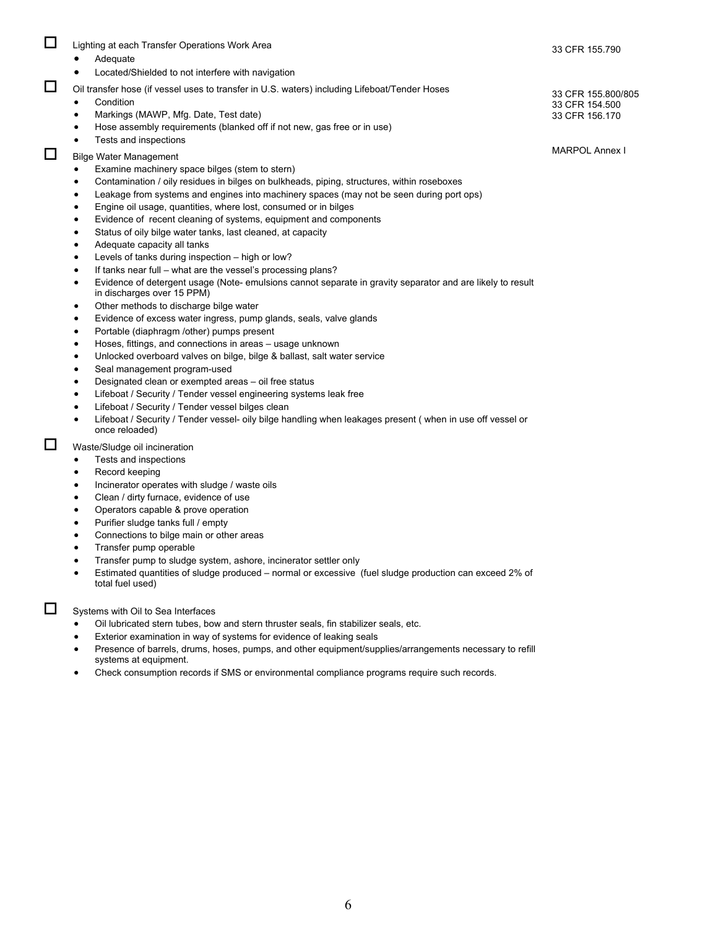| □<br>$\Box$ | Lighting at each Transfer Operations Work Area<br>Adequate<br>$\bullet$<br>Located/Shielded to not interfere with navigation<br>٠<br>Oil transfer hose (if vessel uses to transfer in U.S. waters) including Lifeboat/Tender Hoses<br>Condition<br>$\bullet$<br>Markings (MAWP, Mfg. Date, Test date)<br>$\bullet$<br>Hose assembly requirements (blanked off if not new, gas free or in use)<br>$\bullet$<br>Tests and inspections<br>$\bullet$                                                                                                                                                                                                                                                                                                                                                                                                                                                                                                                                                                                                                                                                                                                                                                                                                                                                                                                                                                                                                                                                                                                                                                                                                                          | 33 CFR 155.790<br>33 CFR 155.800/805<br>33 CFR 154.500<br>33 CFR 156.170 |
|-------------|-------------------------------------------------------------------------------------------------------------------------------------------------------------------------------------------------------------------------------------------------------------------------------------------------------------------------------------------------------------------------------------------------------------------------------------------------------------------------------------------------------------------------------------------------------------------------------------------------------------------------------------------------------------------------------------------------------------------------------------------------------------------------------------------------------------------------------------------------------------------------------------------------------------------------------------------------------------------------------------------------------------------------------------------------------------------------------------------------------------------------------------------------------------------------------------------------------------------------------------------------------------------------------------------------------------------------------------------------------------------------------------------------------------------------------------------------------------------------------------------------------------------------------------------------------------------------------------------------------------------------------------------------------------------------------------------|--------------------------------------------------------------------------|
| $\Box$      | <b>Bilge Water Management</b><br>Examine machinery space bilges (stem to stern)<br>$\bullet$<br>Contamination / oily residues in bilges on bulkheads, piping, structures, within roseboxes<br>$\bullet$<br>Leakage from systems and engines into machinery spaces (may not be seen during port ops)<br>$\bullet$<br>Engine oil usage, quantities, where lost, consumed or in bilges<br>$\bullet$<br>Evidence of recent cleaning of systems, equipment and components<br>$\bullet$<br>Status of oily bilge water tanks, last cleaned, at capacity<br>$\bullet$<br>Adequate capacity all tanks<br>$\bullet$<br>Levels of tanks during inspection – high or low?<br>$\bullet$<br>If tanks near full – what are the vessel's processing plans?<br>Evidence of detergent usage (Note-emulsions cannot separate in gravity separator and are likely to result<br>$\bullet$<br>in discharges over 15 PPM)<br>Other methods to discharge bilge water<br>$\bullet$<br>Evidence of excess water ingress, pump glands, seals, valve glands<br>$\bullet$<br>Portable (diaphragm /other) pumps present<br>$\bullet$<br>Hoses, fittings, and connections in areas - usage unknown<br>$\bullet$<br>Unlocked overboard valves on bilge, bilge & ballast, salt water service<br>$\bullet$<br>Seal management program-used<br>$\bullet$<br>Designated clean or exempted areas - oil free status<br>$\bullet$<br>Lifeboat / Security / Tender vessel engineering systems leak free<br>$\bullet$<br>Lifeboat / Security / Tender vessel bilges clean<br>$\bullet$<br>Lifeboat / Security / Tender vessel- oily bilge handling when leakages present (when in use off vessel or<br>$\bullet$<br>once reloaded) | <b>MARPOL Annex I</b>                                                    |
| □           | Waste/Sludge oil incineration<br>Tests and inspections<br>$\bullet$<br>Record keeping<br>$\bullet$<br>Incinerator operates with sludge / waste oils<br>$\bullet$<br>Clean / dirty furnace, evidence of use<br>$\bullet$<br>Operators capable & prove operation<br>$\bullet$<br>Purifier sludge tanks full / empty<br>$\bullet$<br>Connections to bilge main or other areas<br>$\bullet$<br>Transfer pump operable<br>$\bullet$<br>Transfer pump to sludge system, ashore, incinerator settler only<br>$\bullet$<br>Estimated quantities of sludge produced – normal or excessive (fuel sludge production can exceed 2% of<br>total fuel used)                                                                                                                                                                                                                                                                                                                                                                                                                                                                                                                                                                                                                                                                                                                                                                                                                                                                                                                                                                                                                                             |                                                                          |

Systems with Oil to Sea Interfaces

- Oil lubricated stern tubes, bow and stern thruster seals, fin stabilizer seals, etc.
- Exterior examination in way of systems for evidence of leaking seals
- Presence of barrels, drums, hoses, pumps, and other equipment/supplies/arrangements necessary to refill systems at equipment.
- Check consumption records if SMS or environmental compliance programs require such records.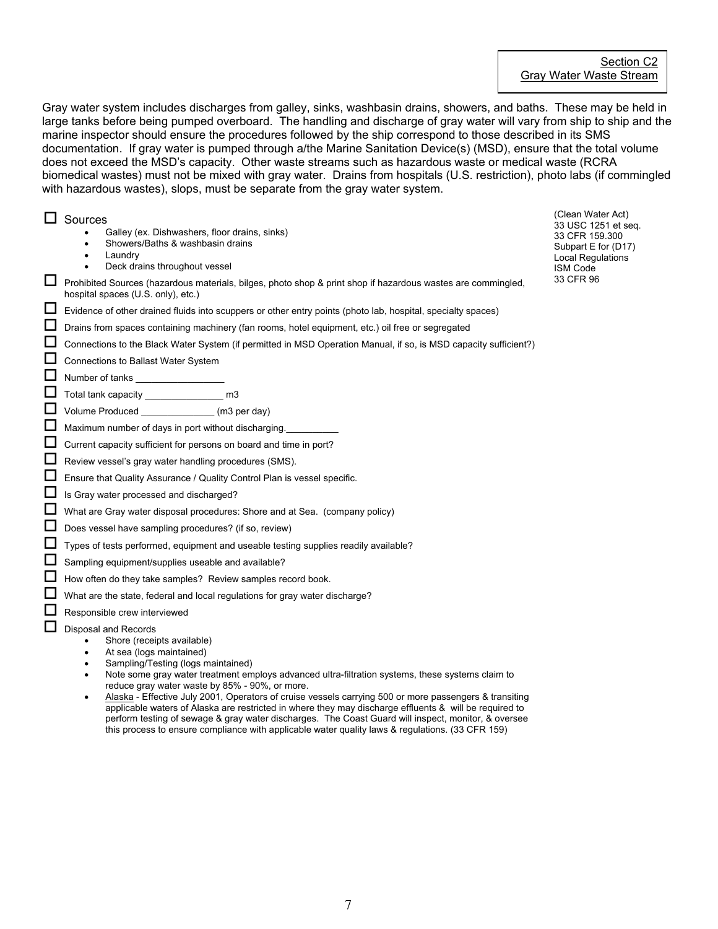Gray water system includes discharges from galley, sinks, washbasin drains, showers, and baths. These may be held in large tanks before being pumped overboard. The handling and discharge of gray water will vary from ship to ship and the marine inspector should ensure the procedures followed by the ship correspond to those described in its SMS documentation. If gray water is pumped through a/the Marine Sanitation Device(s) (MSD), ensure that the total volume does not exceed the MSD's capacity. Other waste streams such as hazardous waste or medical waste (RCRA biomedical wastes) must not be mixed with gray water. Drains from hospitals (U.S. restriction), photo labs (if commingled with hazardous wastes), slops, must be separate from the gray water system.

□ Sources

- Galley (ex. Dishwashers, floor drains, sinks)
- Showers/Baths & washbasin drains
- Laundry
- Deck drains throughout vessel
- Prohibited Sources (hazardous materials, bilges, photo shop & print shop if hazardous wastes are commingled, hospital spaces (U.S. only), etc.)
- $\Box$  Evidence of other drained fluids into scuppers or other entry points (photo lab, hospital, specialty spaces)
- Drains from spaces containing machinery (fan rooms, hotel equipment, etc.) oil free or segregated
- Connections to the Black Water System (if permitted in MSD Operation Manual, if so, is MSD capacity sufficient?)

**C** Connections to Ballast Water System

- $\Box$  Number of tanks  $\_$
- $\Box$  Total tank capacity \_\_\_\_\_\_\_\_\_\_\_\_\_\_\_\_\_\_ m3

Volume Produced \_\_\_\_\_\_\_\_\_\_\_\_\_\_ (m3 per day)

- $\Box$  Maximum number of days in port without discharging.
- Current capacity sufficient for persons on board and time in port?
- Review vessel's gray water handling procedures (SMS).
- Ensure that Quality Assurance / Quality Control Plan is vessel specific.
- Is Gray water processed and discharged?
- What are Gray water disposal procedures: Shore and at Sea. (company policy)
- Does vessel have sampling procedures? (if so, review)
- Types of tests performed, equipment and useable testing supplies readily available?
- Sampling equipment/supplies useable and available?
- $\Box$  How often do they take samples? Review samples record book.
- $\Box$  What are the state, federal and local regulations for gray water discharge?
- $\Box$  Responsible crew interviewed
- $\Box$  Disposal and Records
	- Shore (receipts available)
	- At sea (logs maintained)
	- Sampling/Testing (logs maintained)
	- Note some gray water treatment employs advanced ultra-filtration systems, these systems claim to reduce gray water waste by 85% - 90%, or more.
	- Alaska Effective July 2001, Operators of cruise vessels carrying 500 or more passengers & transiting applicable waters of Alaska are restricted in where they may discharge effluents & will be required to perform testing of sewage & gray water discharges. The Coast Guard will inspect, monitor, & oversee this process to ensure compliance with applicable water quality laws & regulations. (33 CFR 159)

(Clean Water Act) 33 USC 1251 et seq. 33 CFR 159.300 Subpart E for (D17) Local Regulations ISM Code 33 CFR 96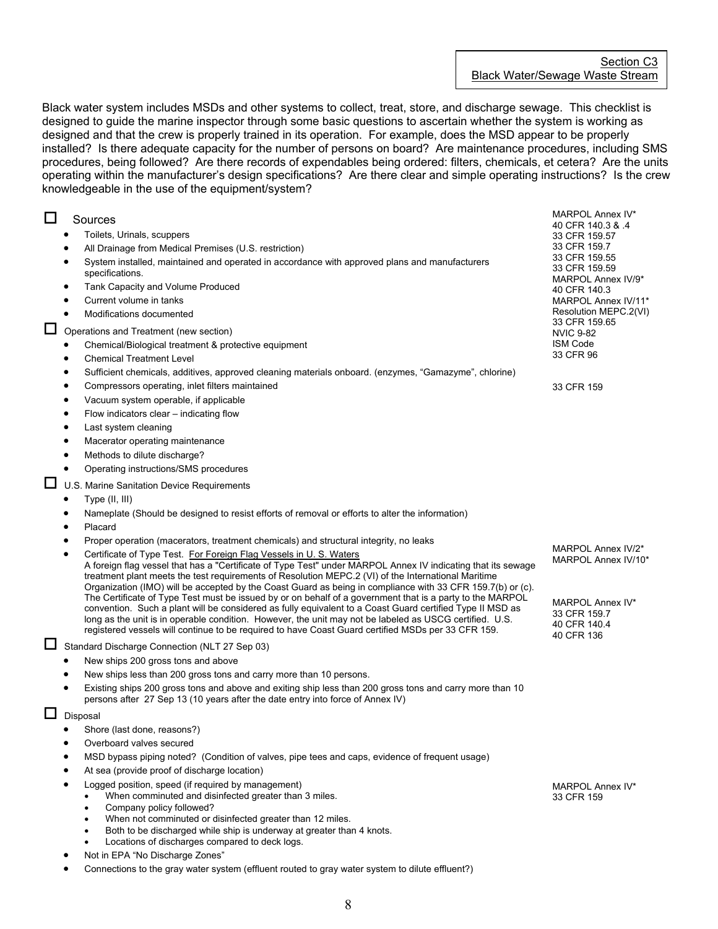Black water system includes MSDs and other systems to collect, treat, store, and discharge sewage. This checklist is designed to guide the marine inspector through some basic questions to ascertain whether the system is working as designed and that the crew is properly trained in its operation. For example, does the MSD appear to be properly installed? Is there adequate capacity for the number of persons on board? Are maintenance procedures, including SMS procedures, being followed? Are there records of expendables being ordered: filters, chemicals, et cetera? Are the units operating within the manufacturer's design specifications? Are there clear and simple operating instructions? Is the crew knowledgeable in the use of the equipment/system?

| $\Box$ | Sources                                                                                                                                                                                                                                                                                                                                                                                                                                 | MARPOL Annex IV*<br>40 CFR 140.3 & 4                           |
|--------|-----------------------------------------------------------------------------------------------------------------------------------------------------------------------------------------------------------------------------------------------------------------------------------------------------------------------------------------------------------------------------------------------------------------------------------------|----------------------------------------------------------------|
|        | Toilets, Urinals, scuppers                                                                                                                                                                                                                                                                                                                                                                                                              | 33 CFR 159.57                                                  |
|        | All Drainage from Medical Premises (U.S. restriction)                                                                                                                                                                                                                                                                                                                                                                                   | 33 CFR 159.7                                                   |
|        | System installed, maintained and operated in accordance with approved plans and manufacturers<br>specifications.                                                                                                                                                                                                                                                                                                                        | 33 CFR 159.55<br>33 CFR 159.59<br>MARPOL Annex IV/9*           |
|        | Tank Capacity and Volume Produced                                                                                                                                                                                                                                                                                                                                                                                                       | 40 CFR 140.3                                                   |
|        | Current volume in tanks                                                                                                                                                                                                                                                                                                                                                                                                                 | MARPOL Annex IV/11*                                            |
|        | Modifications documented                                                                                                                                                                                                                                                                                                                                                                                                                | Resolution MEPC.2(VI)                                          |
| $\Box$ | Operations and Treatment (new section)                                                                                                                                                                                                                                                                                                                                                                                                  | 33 CFR 159.65<br><b>NVIC 9-82</b>                              |
|        | Chemical/Biological treatment & protective equipment                                                                                                                                                                                                                                                                                                                                                                                    | <b>ISM Code</b>                                                |
|        | <b>Chemical Treatment Level</b><br>٠                                                                                                                                                                                                                                                                                                                                                                                                    | 33 CFR 96                                                      |
|        | Sufficient chemicals, additives, approved cleaning materials onboard. (enzymes, "Gamazyme", chlorine)                                                                                                                                                                                                                                                                                                                                   |                                                                |
|        | Compressors operating, inlet filters maintained                                                                                                                                                                                                                                                                                                                                                                                         | 33 CFR 159                                                     |
|        | Vacuum system operable, if applicable                                                                                                                                                                                                                                                                                                                                                                                                   |                                                                |
|        | Flow indicators clear - indicating flow                                                                                                                                                                                                                                                                                                                                                                                                 |                                                                |
|        | Last system cleaning                                                                                                                                                                                                                                                                                                                                                                                                                    |                                                                |
|        | Macerator operating maintenance                                                                                                                                                                                                                                                                                                                                                                                                         |                                                                |
|        | Methods to dilute discharge?                                                                                                                                                                                                                                                                                                                                                                                                            |                                                                |
|        | Operating instructions/SMS procedures                                                                                                                                                                                                                                                                                                                                                                                                   |                                                                |
| $\Box$ | U.S. Marine Sanitation Device Requirements                                                                                                                                                                                                                                                                                                                                                                                              |                                                                |
|        | Type (II, III)                                                                                                                                                                                                                                                                                                                                                                                                                          |                                                                |
|        | Nameplate (Should be designed to resist efforts of removal or efforts to alter the information)                                                                                                                                                                                                                                                                                                                                         |                                                                |
|        | Placard                                                                                                                                                                                                                                                                                                                                                                                                                                 |                                                                |
|        | Proper operation (macerators, treatment chemicals) and structural integrity, no leaks                                                                                                                                                                                                                                                                                                                                                   |                                                                |
|        | Certificate of Type Test. For Foreign Flag Vessels in U. S. Waters<br>$\bullet$<br>A foreign flag vessel that has a "Certificate of Type Test" under MARPOL Annex IV indicating that its sewage<br>treatment plant meets the test requirements of Resolution MEPC.2 (VI) of the International Maritime<br>Organization (IMO) will be accepted by the Coast Guard as being in compliance with 33 CFR 159.7(b) or (c).                    | MARPOL Annex IV/2*<br>MARPOL Annex IV/10*                      |
|        | The Certificate of Type Test must be issued by or on behalf of a government that is a party to the MARPOL<br>convention. Such a plant will be considered as fully equivalent to a Coast Guard certified Type II MSD as<br>long as the unit is in operable condition. However, the unit may not be labeled as USCG certified. U.S.<br>registered vessels will continue to be required to have Coast Guard certified MSDs per 33 CFR 159. | MARPOL Annex IV*<br>33 CFR 159.7<br>40 CFR 140.4<br>40 CFR 136 |
|        | Standard Discharge Connection (NLT 27 Sep 03)                                                                                                                                                                                                                                                                                                                                                                                           |                                                                |
|        | New ships 200 gross tons and above                                                                                                                                                                                                                                                                                                                                                                                                      |                                                                |
|        | New ships less than 200 gross tons and carry more than 10 persons.                                                                                                                                                                                                                                                                                                                                                                      |                                                                |
|        | Existing ships 200 gross tons and above and exiting ship less than 200 gross tons and carry more than 10<br>$\bullet$<br>persons after 27 Sep 13 (10 years after the date entry into force of Annex IV)                                                                                                                                                                                                                                 |                                                                |
| □      | Disposal                                                                                                                                                                                                                                                                                                                                                                                                                                |                                                                |
|        | Shore (last done, reasons?)                                                                                                                                                                                                                                                                                                                                                                                                             |                                                                |
|        | Overboard valves secured                                                                                                                                                                                                                                                                                                                                                                                                                |                                                                |
|        | MSD bypass piping noted? (Condition of valves, pipe tees and caps, evidence of frequent usage)                                                                                                                                                                                                                                                                                                                                          |                                                                |
|        | At sea (provide proof of discharge location)                                                                                                                                                                                                                                                                                                                                                                                            |                                                                |
|        | Logged position, speed (if required by management)                                                                                                                                                                                                                                                                                                                                                                                      | MARPOL Annex IV*                                               |
|        | When comminuted and disinfected greater than 3 miles.                                                                                                                                                                                                                                                                                                                                                                                   | 33 CFR 159                                                     |
|        | Company policy followed?<br>$\bullet$<br>When not comminuted or disinfected greater than 12 miles.                                                                                                                                                                                                                                                                                                                                      |                                                                |
|        | Both to be discharged while ship is underway at greater than 4 knots.                                                                                                                                                                                                                                                                                                                                                                   |                                                                |

- Locations of discharges compared to deck logs.
- Not in EPA "No Discharge Zones"
- Connections to the gray water system (effluent routed to gray water system to dilute effluent?)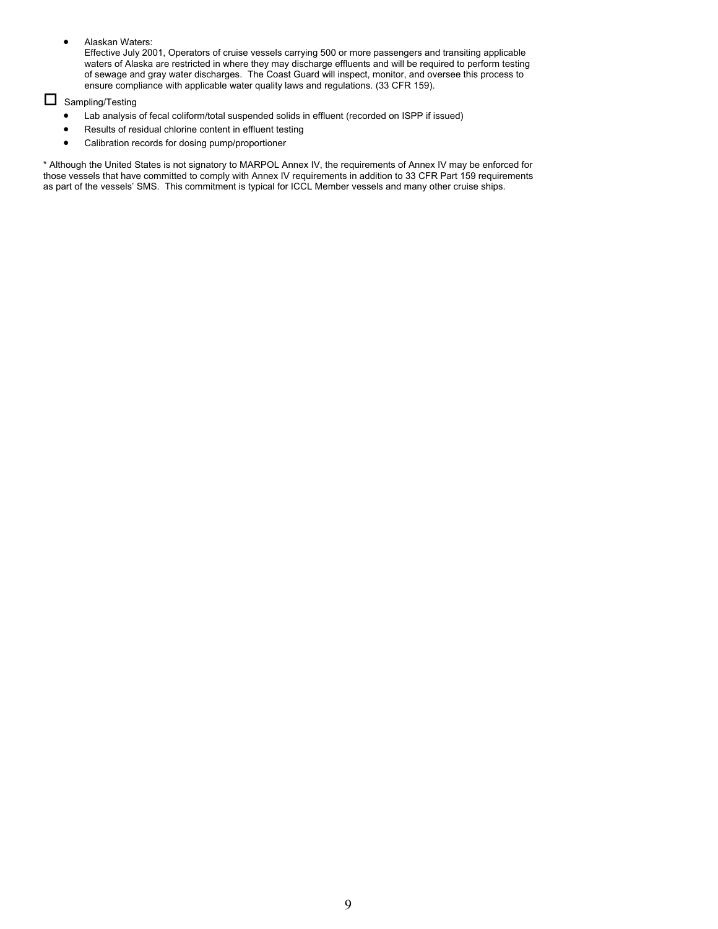• Alaskan Waters:

Effective July 2001, Operators of cruise vessels carrying 500 or more passengers and transiting applicable waters of Alaska are restricted in where they may discharge effluents and will be required to perform testing of sewage and gray water discharges. The Coast Guard will inspect, monitor, and oversee this process to ensure compliance with applicable water quality laws and regulations. (33 CFR 159).

# $\square$  Sampling/Testing

- Lab analysis of fecal coliform/total suspended solids in effluent (recorded on ISPP if issued)
- Results of residual chlorine content in effluent testing
- Calibration records for dosing pump/proportioner

\* Although the United States is not signatory to MARPOL Annex IV, the requirements of Annex IV may be enforced for those vessels that have committed to comply with Annex IV requirements in addition to 33 CFR Part 159 requirements as part of the vessels' SMS. This commitment is typical for ICCL Member vessels and many other cruise ships.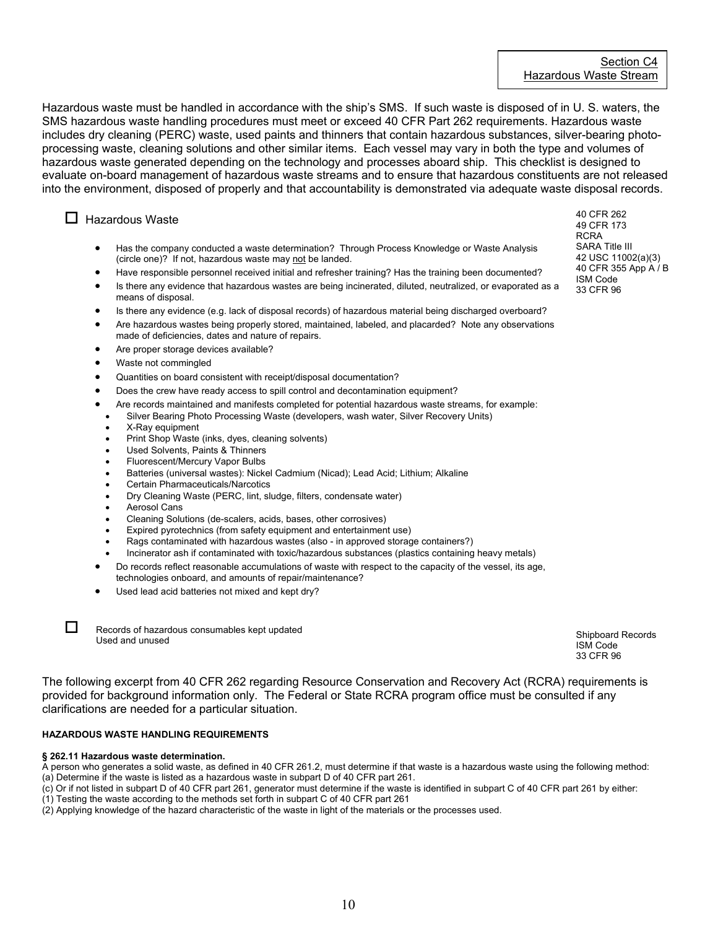Hazardous waste must be handled in accordance with the ship's SMS. If such waste is disposed of in U. S. waters, the SMS hazardous waste handling procedures must meet or exceed 40 CFR Part 262 requirements. Hazardous waste includes dry cleaning (PERC) waste, used paints and thinners that contain hazardous substances, silver-bearing photoprocessing waste, cleaning solutions and other similar items. Each vessel may vary in both the type and volumes of hazardous waste generated depending on the technology and processes aboard ship. This checklist is designed to evaluate on-board management of hazardous waste streams and to ensure that hazardous constituents are not released into the environment, disposed of properly and that accountability is demonstrated via adequate waste disposal records.

# $\Box$  Hazardous Waste

- Has the company conducted a waste determination? Through Process Knowledge or Waste Analysis (circle one)? If not, hazardous waste may not be landed.
- Have responsible personnel received initial and refresher training? Has the training been documented?

• Is there any evidence that hazardous wastes are being incinerated, diluted, neutralized, or evaporated as a means of disposal.

- Is there any evidence (e.g. lack of disposal records) of hazardous material being discharged overboard?
- Are hazardous wastes being properly stored, maintained, labeled, and placarded? Note any observations made of deficiencies, dates and nature of repairs.
- Are proper storage devices available?
- Waste not commingled
- Quantities on board consistent with receipt/disposal documentation?
- Does the crew have ready access to spill control and decontamination equipment?
- Are records maintained and manifests completed for potential hazardous waste streams, for example:
- Silver Bearing Photo Processing Waste (developers, wash water, Silver Recovery Units)
- X-Ray equipment
- Print Shop Waste (inks, dyes, cleaning solvents)
- Used Solvents, Paints & Thinners
- Fluorescent/Mercury Vapor Bulbs
- Batteries (universal wastes): Nickel Cadmium (Nicad); Lead Acid; Lithium; Alkaline
- Certain Pharmaceuticals/Narcotics
- Dry Cleaning Waste (PERC, lint, sludge, filters, condensate water)
- **Aerosol Cans**
- Cleaning Solutions (de-scalers, acids, bases, other corrosives)
- Expired pyrotechnics (from safety equipment and entertainment use)
- Rags contaminated with hazardous wastes (also in approved storage containers?)
- Incinerator ash if contaminated with toxic/hazardous substances (plastics containing heavy metals)
- Do records reflect reasonable accumulations of waste with respect to the capacity of the vessel, its age, technologies onboard, and amounts of repair/maintenance?
- Used lead acid batteries not mixed and kept dry?

Records of hazardous consumables kept updated Necords of Hazardous consumables Nept updated<br>Used and unused states and consumables nept updated Shipboard Records and the Shipboard Records in the Shipboard Records

ISM Code 33 CFR 96

The following excerpt from 40 CFR 262 regarding Resource Conservation and Recovery Act (RCRA) requirements is provided for background information only. The Federal or State RCRA program office must be consulted if any clarifications are needed for a particular situation.

#### **HAZARDOUS WASTE HANDLING REQUIREMENTS**

#### **§ 262.11 Hazardous waste determination.**

A person who generates a solid waste, as defined in 40 CFR 261.2, must determine if that waste is a hazardous waste using the following method: (a) Determine if the waste is listed as a hazardous waste in subpart D of 40 CFR part 261.

10

(c) Or if not listed in subpart D of 40 CFR part 261, generator must determine if the waste is identified in subpart C of 40 CFR part 261 by either:

(1) Testing the waste according to the methods set forth in subpart C of 40 CFR part 261

(2) Applying knowledge of the hazard characteristic of the waste in light of the materials or the processes used.

40 CFR 262 49 CFR 173 RCRA SARA Title III 42 USC 11002(a)(3) 40 CFR 355 App A / B ISM Code 33 CFR 96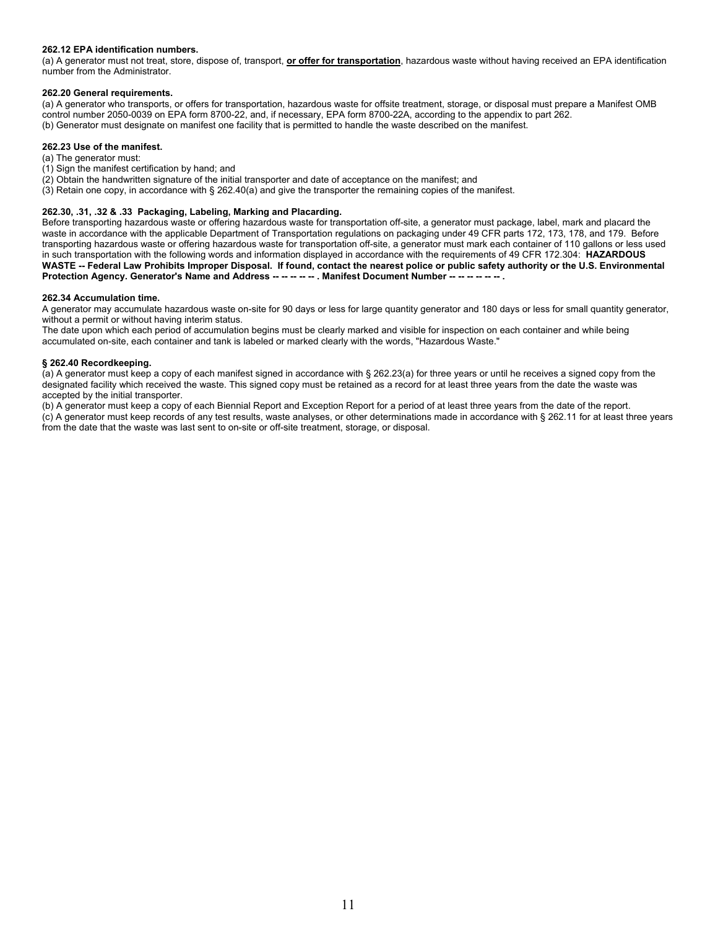#### **262.12 EPA identification numbers.**

(a) A generator must not treat, store, dispose of, transport, **or offer for transportation**, hazardous waste without having received an EPA identification number from the Administrator.

#### **262.20 General requirements.**

(a) A generator who transports, or offers for transportation, hazardous waste for offsite treatment, storage, or disposal must prepare a Manifest OMB control number 2050-0039 on EPA form 8700-22, and, if necessary, EPA form 8700-22A, according to the appendix to part 262. (b) Generator must designate on manifest one facility that is permitted to handle the waste described on the manifest.

#### **262.23 Use of the manifest.**

(a) The generator must:

- (1) Sign the manifest certification by hand; and
- (2) Obtain the handwritten signature of the initial transporter and date of acceptance on the manifest; and
- (3) Retain one copy, in accordance with § 262.40(a) and give the transporter the remaining copies of the manifest.

#### **262.30, .31, .32 & .33 Packaging, Labeling, Marking and Placarding.**

Before transporting hazardous waste or offering hazardous waste for transportation off-site, a generator must package, label, mark and placard the waste in accordance with the applicable Department of Transportation regulations on packaging under 49 CFR parts 172, 173, 178, and 179. Before transporting hazardous waste or offering hazardous waste for transportation off-site, a generator must mark each container of 110 gallons or less used in such transportation with the following words and information displayed in accordance with the requirements of 49 CFR 172.304: **HAZARDOUS WASTE -- Federal Law Prohibits Improper Disposal. If found, contact the nearest police or public safety authority or the U.S. Environmental** Protection Agency. Generator's Name and Address -- -- -- -- . Manifest Document Number -- -- -- -- -- -- .

#### **262.34 Accumulation time.**

A generator may accumulate hazardous waste on-site for 90 days or less for large quantity generator and 180 days or less for small quantity generator, without a permit or without having interim status.

The date upon which each period of accumulation begins must be clearly marked and visible for inspection on each container and while being accumulated on-site, each container and tank is labeled or marked clearly with the words, "Hazardous Waste."

#### **§ 262.40 Recordkeeping.**

(a) A generator must keep a copy of each manifest signed in accordance with § 262.23(a) for three years or until he receives a signed copy from the designated facility which received the waste. This signed copy must be retained as a record for at least three years from the date the waste was accepted by the initial transporter.

(b) A generator must keep a copy of each Biennial Report and Exception Report for a period of at least three years from the date of the report. (c) A generator must keep records of any test results, waste analyses, or other determinations made in accordance with § 262.11 for at least three years

from the date that the waste was last sent to on-site or off-site treatment, storage, or disposal.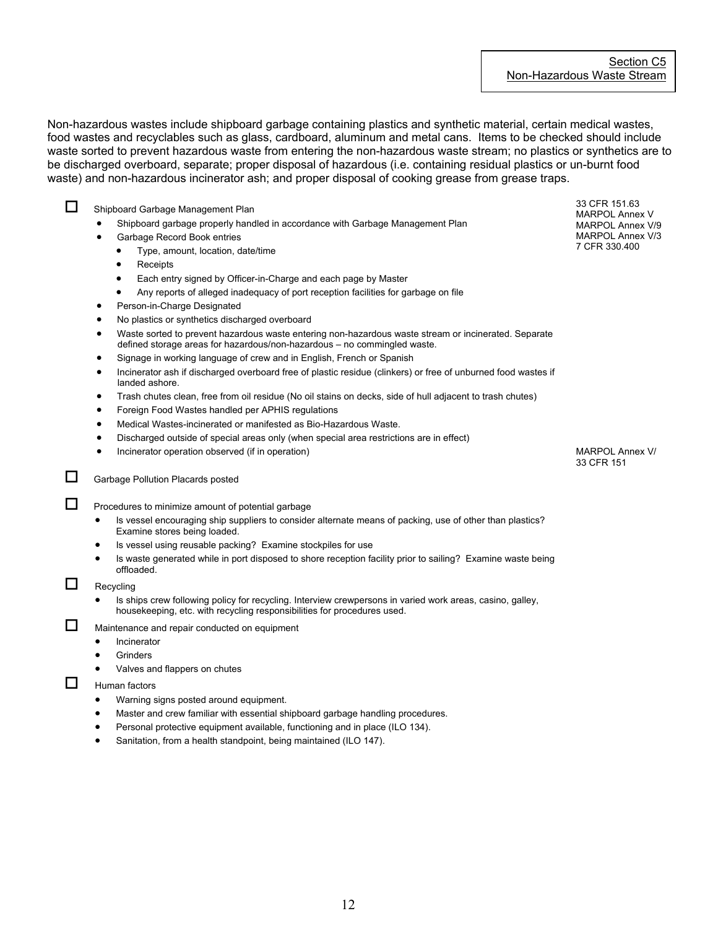Non-hazardous wastes include shipboard garbage containing plastics and synthetic material, certain medical wastes, food wastes and recyclables such as glass, cardboard, aluminum and metal cans. Items to be checked should include waste sorted to prevent hazardous waste from entering the non-hazardous waste stream; no plastics or synthetics are to be discharged overboard, separate; proper disposal of hazardous (i.e. containing residual plastics or un-burnt food waste) and non-hazardous incinerator ash; and proper disposal of cooking grease from grease traps.

Shipboard Garbage Management Plan

- Shipboard garbage properly handled in accordance with Garbage Management Plan
- Garbage Record Book entries
	- Type, amount, location, date/time
	- **Receipts**
	- Each entry signed by Officer-in-Charge and each page by Master
	- Any reports of alleged inadequacy of port reception facilities for garbage on file
- Person-in-Charge Designated
- No plastics or synthetics discharged overboard
- Waste sorted to prevent hazardous waste entering non-hazardous waste stream or incinerated. Separate defined storage areas for hazardous/non-hazardous – no commingled waste.
- Signage in working language of crew and in English, French or Spanish
- Incinerator ash if discharged overboard free of plastic residue (clinkers) or free of unburned food wastes if landed ashore.
- Trash chutes clean, free from oil residue (No oil stains on decks, side of hull adjacent to trash chutes)
- Foreign Food Wastes handled per APHIS regulations
- Medical Wastes-incinerated or manifested as Bio-Hazardous Waste.
- Discharged outside of special areas only (when special area restrictions are in effect)
- Incinerator operation observed (if in operation)

# Garbage Pollution Placards posted

 $\Box$  Procedures to minimize amount of potential garbage

- Is vessel encouraging ship suppliers to consider alternate means of packing, use of other than plastics? Examine stores being loaded.
- Is vessel using reusable packing? Examine stockpiles for use
- Is waste generated while in port disposed to shore reception facility prior to sailing? Examine waste being offloaded.

# $\Box$  Recycling

• Is ships crew following policy for recycling. Interview crewpersons in varied work areas, casino, galley, housekeeping, etc. with recycling responsibilities for procedures used.

 $\Box$  Maintenance and repair conducted on equipment

- **Incinerator**
- **Grinders**
- Valves and flappers on chutes

 $\Box$  Human factors

- Warning signs posted around equipment.
- Master and crew familiar with essential shipboard garbage handling procedures.
- Personal protective equipment available, functioning and in place (ILO 134).
- Sanitation, from a health standpoint, being maintained (ILO 147).

33 CFR 151.63 MARPOL Annex V MARPOL Annex V/9 MARPOL Annex V/3 7 CFR 330.400

MARPOL Annex V/ 33 CFR 151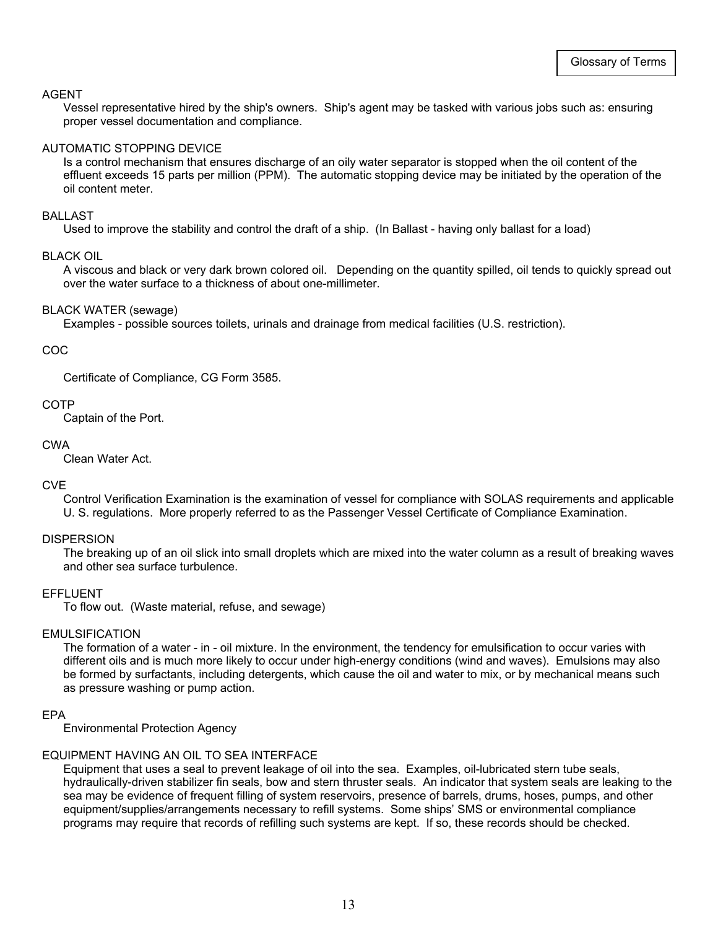#### AGENT

Vessel representative hired by the ship's owners. Ship's agent may be tasked with various jobs such as: ensuring proper vessel documentation and compliance.

# AUTOMATIC STOPPING DEVICE

Is a control mechanism that ensures discharge of an oily water separator is stopped when the oil content of the effluent exceeds 15 parts per million (PPM). The automatic stopping device may be initiated by the operation of the oil content meter.

# BALLAST

Used to improve the stability and control the draft of a ship. (In Ballast - having only ballast for a load)

#### BLACK OIL

A viscous and black or very dark brown colored oil. Depending on the quantity spilled, oil tends to quickly spread out over the water surface to a thickness of about one-millimeter.

#### BLACK WATER (sewage)

Examples - possible sources toilets, urinals and drainage from medical facilities (U.S. restriction).

#### COC

Certificate of Compliance, CG Form 3585.

#### COTP

Captain of the Port.

### CWA

Clean Water Act.

### CVE

Control Verification Examination is the examination of vessel for compliance with SOLAS requirements and applicable U. S. regulations. More properly referred to as the Passenger Vessel Certificate of Compliance Examination.

#### **DISPERSION**

The breaking up of an oil slick into small droplets which are mixed into the water column as a result of breaking waves and other sea surface turbulence.

#### EFFLUENT

To flow out. (Waste material, refuse, and sewage)

#### EMULSIFICATION

The formation of a water - in - oil mixture. In the environment, the tendency for emulsification to occur varies with different oils and is much more likely to occur under high-energy conditions (wind and waves). Emulsions may also be formed by surfactants, including detergents, which cause the oil and water to mix, or by mechanical means such as pressure washing or pump action.

### EPA

Environmental Protection Agency

### EQUIPMENT HAVING AN OIL TO SEA INTERFACE

Equipment that uses a seal to prevent leakage of oil into the sea. Examples, oil-lubricated stern tube seals, hydraulically-driven stabilizer fin seals, bow and stern thruster seals. An indicator that system seals are leaking to the sea may be evidence of frequent filling of system reservoirs, presence of barrels, drums, hoses, pumps, and other equipment/supplies/arrangements necessary to refill systems. Some ships' SMS or environmental compliance programs may require that records of refilling such systems are kept. If so, these records should be checked.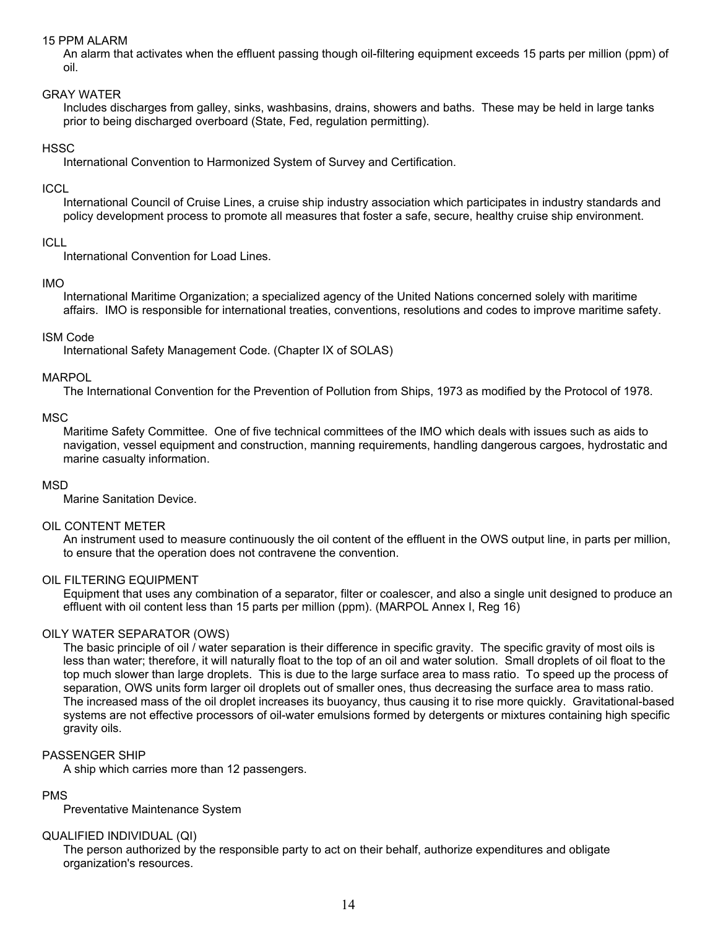# 15 PPM ALARM

An alarm that activates when the effluent passing though oil-filtering equipment exceeds 15 parts per million (ppm) of oil.

# GRAY WATER

Includes discharges from galley, sinks, washbasins, drains, showers and baths. These may be held in large tanks prior to being discharged overboard (State, Fed, regulation permitting).

# **HSSC**

International Convention to Harmonized System of Survey and Certification.

# **ICCL**

International Council of Cruise Lines, a cruise ship industry association which participates in industry standards and policy development process to promote all measures that foster a safe, secure, healthy cruise ship environment.

# ICLL

International Convention for Load Lines.

# IMO

International Maritime Organization; a specialized agency of the United Nations concerned solely with maritime affairs. IMO is responsible for international treaties, conventions, resolutions and codes to improve maritime safety.

# ISM Code

International Safety Management Code. (Chapter IX of SOLAS)

# MARPOL

The International Convention for the Prevention of Pollution from Ships, 1973 as modified by the Protocol of 1978.

# **MSC**

Maritime Safety Committee. One of five technical committees of the IMO which deals with issues such as aids to navigation, vessel equipment and construction, manning requirements, handling dangerous cargoes, hydrostatic and marine casualty information.

### MSD

Marine Sanitation Device.

### OIL CONTENT METER

An instrument used to measure continuously the oil content of the effluent in the OWS output line, in parts per million, to ensure that the operation does not contravene the convention.

### OIL FILTERING EQUIPMENT

Equipment that uses any combination of a separator, filter or coalescer, and also a single unit designed to produce an effluent with oil content less than 15 parts per million (ppm). (MARPOL Annex I, Reg 16)

# OILY WATER SEPARATOR (OWS)

The basic principle of oil / water separation is their difference in specific gravity. The specific gravity of most oils is less than water; therefore, it will naturally float to the top of an oil and water solution. Small droplets of oil float to the top much slower than large droplets. This is due to the large surface area to mass ratio. To speed up the process of separation, OWS units form larger oil droplets out of smaller ones, thus decreasing the surface area to mass ratio. The increased mass of the oil droplet increases its buoyancy, thus causing it to rise more quickly. Gravitational-based systems are not effective processors of oil-water emulsions formed by detergents or mixtures containing high specific gravity oils.

### PASSENGER SHIP

A ship which carries more than 12 passengers.

# PMS

Preventative Maintenance System

### QUALIFIED INDIVIDUAL (QI)

The person authorized by the responsible party to act on their behalf, authorize expenditures and obligate organization's resources.